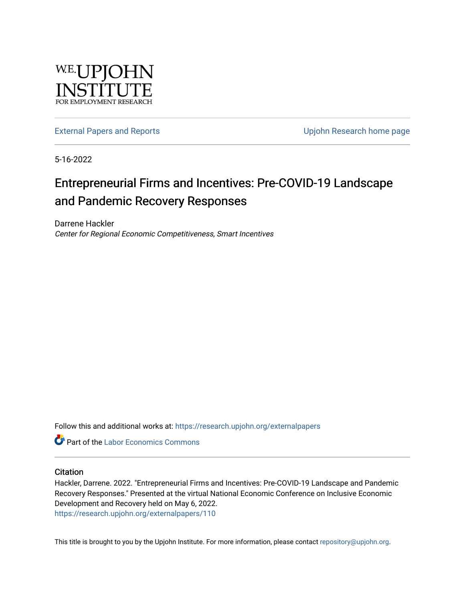

[External Papers and Reports](https://research.upjohn.org/externalpapers) **External Papers and Reports** Contract Contract Contract Contract Upjohn Research home page

5-16-2022

#### Entrepreneurial Firms and Incentives: Pre-COVID-19 Landscape and Pandemic Recovery Responses

Darrene Hackler Center for Regional Economic Competitiveness, Smart Incentives

Follow this and additional works at: [https://research.upjohn.org/externalpapers](https://research.upjohn.org/externalpapers?utm_source=research.upjohn.org%2Fexternalpapers%2F110&utm_medium=PDF&utm_campaign=PDFCoverPages)

**Part of the [Labor Economics Commons](https://network.bepress.com/hgg/discipline/349?utm_source=research.upjohn.org%2Fexternalpapers%2F110&utm_medium=PDF&utm_campaign=PDFCoverPages)** 

#### **Citation**

Hackler, Darrene. 2022. "Entrepreneurial Firms and Incentives: Pre-COVID-19 Landscape and Pandemic Recovery Responses." Presented at the virtual National Economic Conference on Inclusive Economic Development and Recovery held on May 6, 2022. <https://research.upjohn.org/externalpapers/110>

This title is brought to you by the Upjohn Institute. For more information, please contact [repository@upjohn.org](mailto:repository@upjohn.org).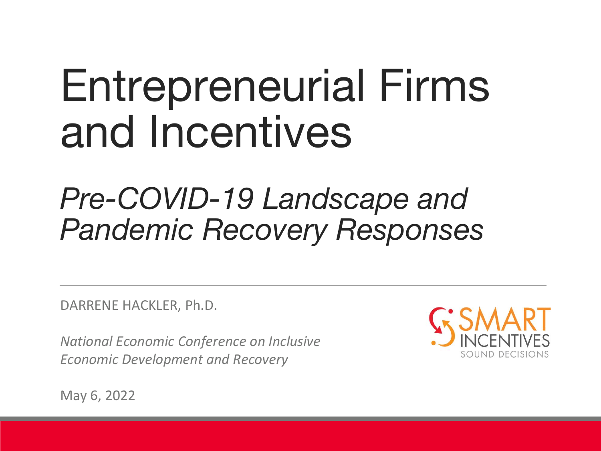# Entrepreneurial Firms and Incentives

### *Pre-COVID-19 Landscape and Pandemic Recovery Responses*

DARRENE HACKLER, Ph.D.

*National Economic Conference on Inclusive Economic Development and Recovery*



May 6, 2022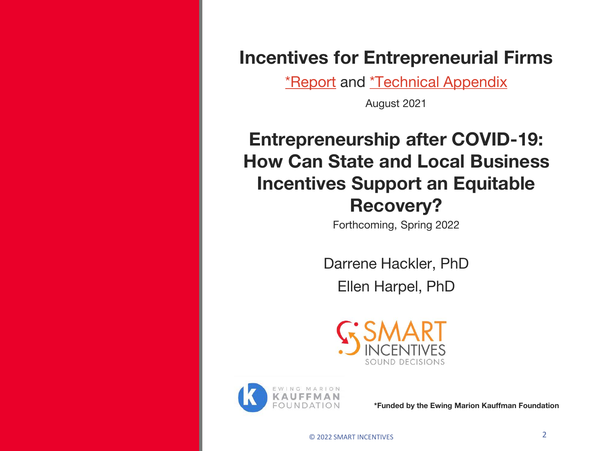**Incentives for Entrepreneurial Firms**

[\\*Report](https://www.kauffman.org/wp-content/uploads/2021/08/Incentives-for-Entrepreneurial-Firms-August-2021.pdf) and [\\*Technical Appendix](https://www.kauffman.org/wp-content/uploads/2021/08/Incentives-for-Entrepreneurial-Firms-Appendix-August-2021.pdf)

August 2021

### **Entrepreneurship after COVID-19: How Can State and Local Business Incentives Support an Equitable Recovery?**

Forthcoming, Spring 2022

Darrene Hackler, PhD

Ellen Harpel, PhD





**\*Funded by the Ewing Marion Kauffman Foundation**

© 2022 SMART INCENTIVES 2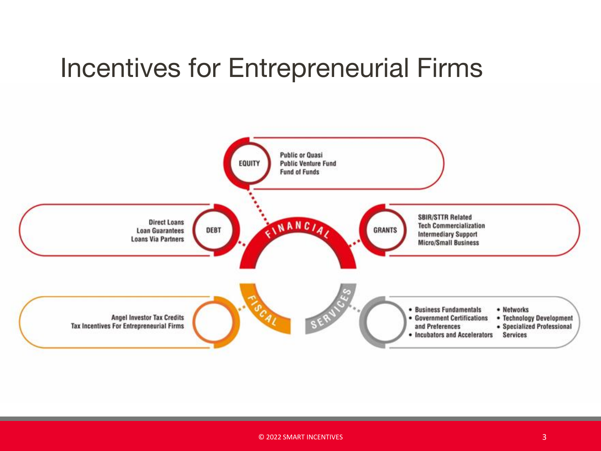### Incentives for Entrepreneurial Firms

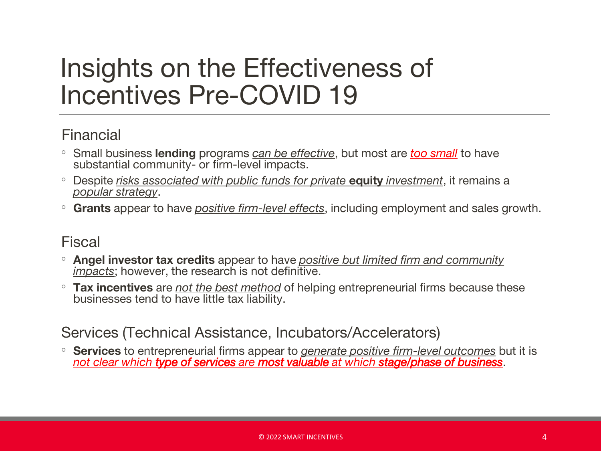### Insights on the Effectiveness of Incentives Pre-COVID 19

#### Financial

- Small business **lending** programs *can be effective*, but most are *too small* to have substantial community- or firm-level impacts.
- Despite *risks associated with public funds for private* **equity** *investment*, it remains a *popular strategy*.
- **Grants** appear to have *positive firm-level effects*, including employment and sales growth.

#### Fiscal

- **Angel investor tax credits** appear to have *positive but limited firm and community impacts*; however, the research is not definitive.
- **Tax incentives** are *not the best method* of helping entrepreneurial firms because these businesses tend to have little tax liability.

#### Services (Technical Assistance, Incubators/Accelerators)

◦ **Services** to entrepreneurial firms appear to *generate positive firm-level outcomes* but it is *not clear which type of services are most valuable at which stage/phase of business*.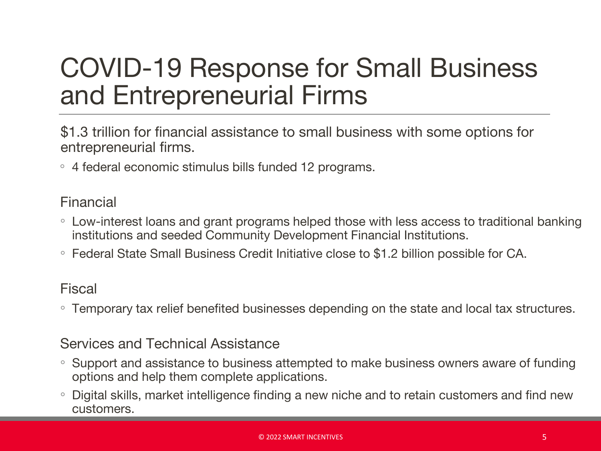### COVID-19 Response for Small Business and Entrepreneurial Firms

\$1.3 trillion for financial assistance to small business with some options for entrepreneurial firms.

◦ 4 federal economic stimulus bills funded 12 programs.

#### Financial

- Low-interest loans and grant programs helped those with less access to traditional banking institutions and seeded Community Development Financial Institutions.
- Federal State Small Business Credit Initiative close to \$1.2 billion possible for CA.

#### Fiscal

◦ Temporary tax relief benefited businesses depending on the state and local tax structures.

#### Services and Technical Assistance

- Support and assistance to business attempted to make business owners aware of funding options and help them complete applications.
- Digital skills, market intelligence finding a new niche and to retain customers and find new customers.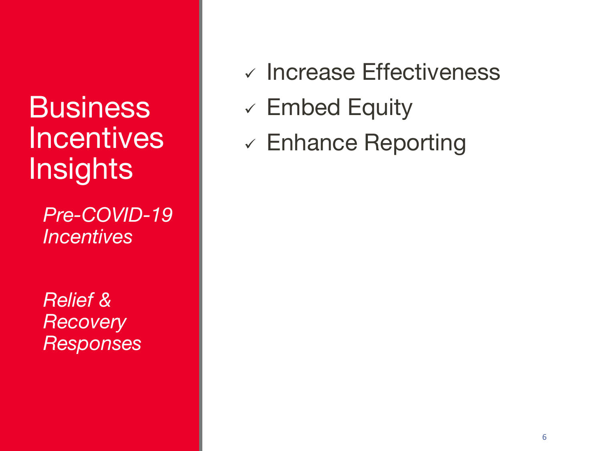### **Business Incentives Insights**

*Pre-COVID-19 Incentives*

*Relief & Recovery Responses*

- ✓ Increase Effectiveness
- $\checkmark$  Embed Equity
- ✓ Enhance Reporting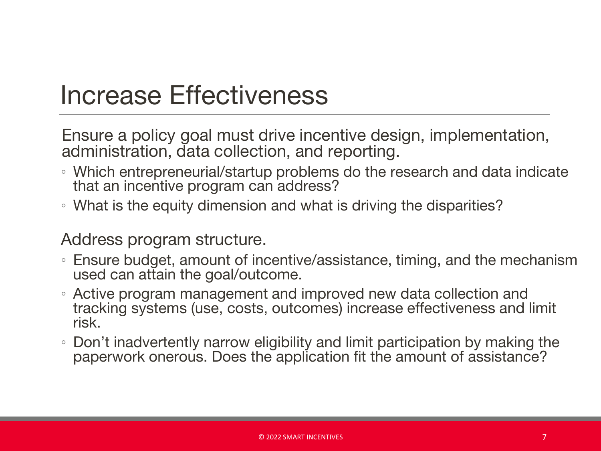### Increase Effectiveness

Ensure a policy goal must drive incentive design, implementation, administration, data collection, and reporting.

- Which entrepreneurial/startup problems do the research and data indicate that an incentive program can address?
- What is the equity dimension and what is driving the disparities?

#### Address program structure.

- Ensure budget, amount of incentive/assistance, timing, and the mechanism used can attain the goal/outcome.
- Active program management and improved new data collection and tracking systems (use, costs, outcomes) increase effectiveness and limit risk.
- Don't inadvertently narrow eligibility and limit participation by making the paperwork onerous. Does the application fit the amount of assistance?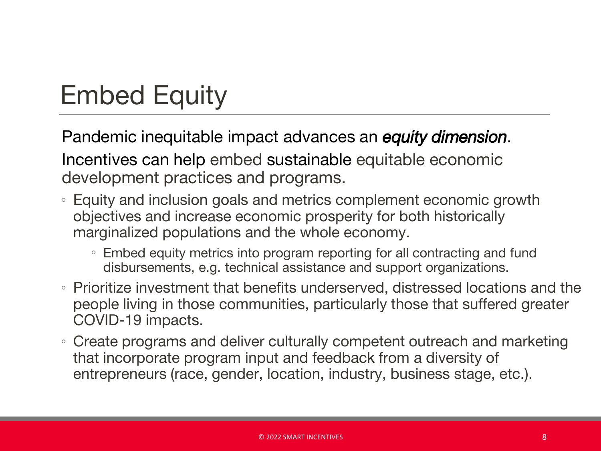### Embed Equity

Pandemic inequitable impact advances an *equity dimension*. Incentives can help embed sustainable equitable economic development practices and programs.

- Equity and inclusion goals and metrics complement economic growth objectives and increase economic prosperity for both historically marginalized populations and the whole economy.
	- Embed equity metrics into program reporting for all contracting and fund disbursements, e.g. technical assistance and support organizations.
- Prioritize investment that benefits underserved, distressed locations and the people living in those communities, particularly those that suffered greater COVID-19 impacts.
- Create programs and deliver culturally competent outreach and marketing that incorporate program input and feedback from a diversity of entrepreneurs (race, gender, location, industry, business stage, etc.).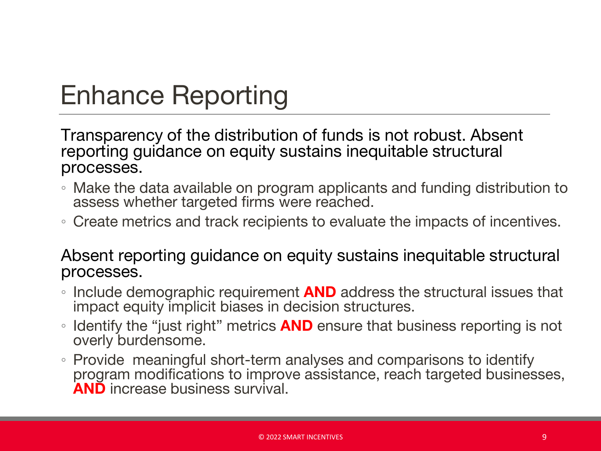### Enhance Reporting

Transparency of the distribution of funds is not robust. Absent reporting guidance on equity sustains inequitable structural processes.

- Make the data available on program applicants and funding distribution to assess whether targeted firms were reached.
- Create metrics and track recipients to evaluate the impacts of incentives.

Absent reporting guidance on equity sustains inequitable structural processes.

- Include demographic requirement **AND** address the structural issues that impact equity implicit biases in decision structures.
- Identify the "just right" metrics **AND** ensure that business reporting is not overly burdensome.
- Provide meaningful short-term analyses and comparisons to identify program modifications to improve assistance, reach targeted businesses, **AND** increase business survival.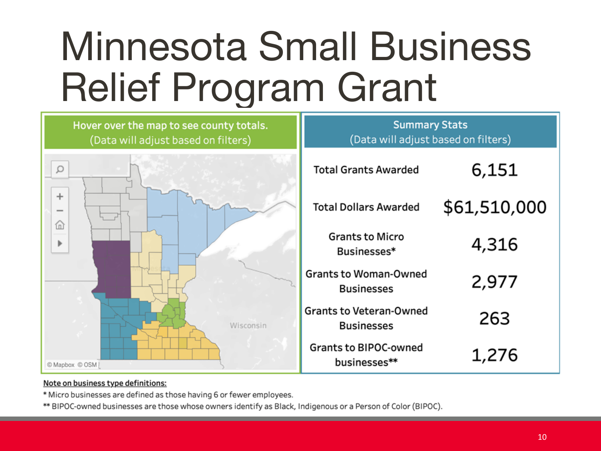## Minnesota Small Business Relief Program Grant



#### Note on business type definitions:

\* Micro businesses are defined as those having 6 or fewer employees.

\*\* BIPOC-owned businesses are those whose owners identify as Black, Indigenous or a Person of Color (BIPOC).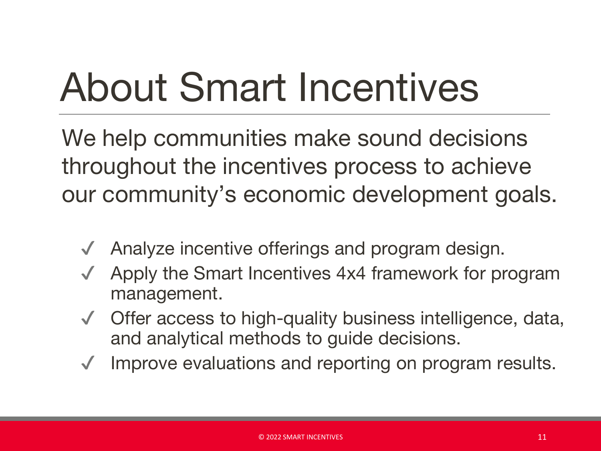## About Smart Incentives

We help communities make sound decisions throughout the incentives process to achieve our community's economic development goals.

- Analyze incentive offerings and program design.
- Apply the Smart Incentives 4x4 framework for program management.
- ✔ Offer access to high-quality business intelligence, data, and analytical methods to guide decisions.
- Improve evaluations and reporting on program results.